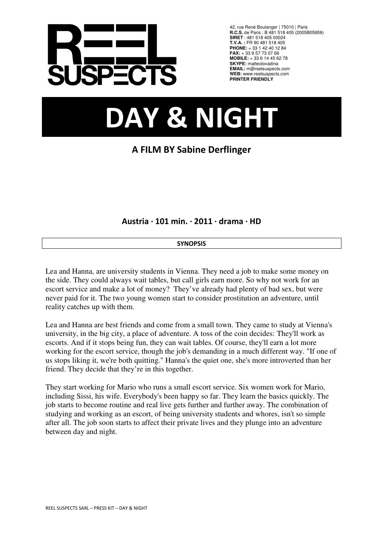

42, rue René Boulanger | 75010 | Paris **R.C.S.** de Paris : B 481 518 405 (2005B05959) **SIRET** : 481 518 405 00024 **T.V.A. :** FR 90 481 518 405 **PHONE:** + 33 1 42 40 12 84 **FAX:** + 33 9 57 73 07 66 **MOBILE:** + 33 6 14 45 62 78 **SKYPE:** matteolovadina **EMAIL:** m@reelsuspects.com **WEB:** www.reelsuspects.com **PRINTER FRIENDLY**

# DAY & NIGHT

# A FILM BY Sabine Derflinger

Austria · 101 min. · 2011 · drama · HD

# **SYNOPSIS**

Lea and Hanna, are university students in Vienna. They need a job to make some money on the side. They could always wait tables, but call girls earn more. So why not work for an escort service and make a lot of money? They've already had plenty of bad sex, but were never paid for it. The two young women start to consider prostitution an adventure, until reality catches up with them.

Lea and Hanna are best friends and come from a small town. They came to study at Vienna's university, in the big city, a place of adventure. A toss of the coin decides: They'll work as escorts. And if it stops being fun, they can wait tables. Of course, they'll earn a lot more working for the escort service, though the job's demanding in a much different way. "If one of us stops liking it, we're both quitting." Hanna's the quiet one, she's more introverted than her friend. They decide that they're in this together.

They start working for Mario who runs a small escort service. Six women work for Mario, including Sissi, his wife. Everybody's been happy so far. They learn the basics quickly. The job starts to become routine and real live gets further and further away. The combination of studying and working as an escort, of being university students and whores, isn't so simple after all. The job soon starts to affect their private lives and they plunge into an adventure between day and night.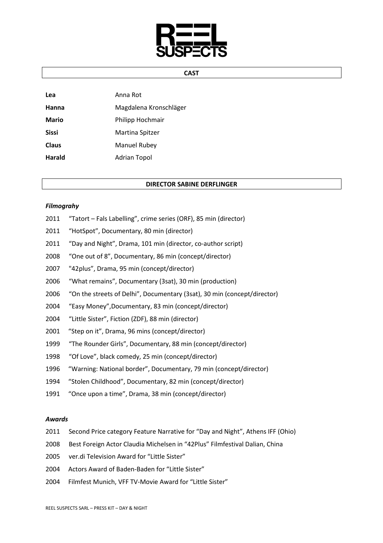

#### CAST

| Lea          | Anna Rot               |
|--------------|------------------------|
| Hanna        | Magdalena Kronschläger |
| <b>Mario</b> | Philipp Hochmair       |
| <b>Sissi</b> | Martina Spitzer        |
| <b>Claus</b> | <b>Manuel Rubey</b>    |
| Harald       | <b>Adrian Topol</b>    |

#### DIRECTOR SABINE DERFLINGER

#### Filmograhy

- 2011 "Tatort Fals Labelling", crime series (ORF), 85 min (director)
- 2011 "HotSpot", Documentary, 80 min (director)
- 2011 "Day and Night", Drama, 101 min (director, co-author script)
- 2008 "One out of 8", Documentary, 86 min (concept/director)
- 2007 "42plus", Drama, 95 min (concept/director)
- 2006 "What remains", Documentary (3sat), 30 min (production)
- 2006 "On the streets of Delhi", Documentary (3sat), 30 min (concept/director)
- 2004 "Easy Money",Documentary, 83 min (concept/director)
- 2004 "Little Sister", Fiction (ZDF), 88 min (director)
- 2001 "Step on it", Drama, 96 mins (concept/director)
- 1999 "The Rounder Girls", Documentary, 88 min (concept/director)
- 1998 "Of Love", black comedy, 25 min (concept/director)
- 1996 "Warning: National border", Documentary, 79 min (concept/director)
- 1994 "Stolen Childhood", Documentary, 82 min (concept/director)
- 1991 "Once upon a time", Drama, 38 min (concept/director)

#### Awards

- 2011 Second Price category Feature Narrative for "Day and Night", Athens IFF (Ohio)
- 2008 Best Foreign Actor Claudia Michelsen in "42Plus" Filmfestival Dalian, China
- 2005 ver.di Television Award for "Little Sister"
- 2004 Actors Award of Baden-Baden for "Little Sister"
- 2004 Filmfest Munich, VFF TV-Movie Award for "Little Sister"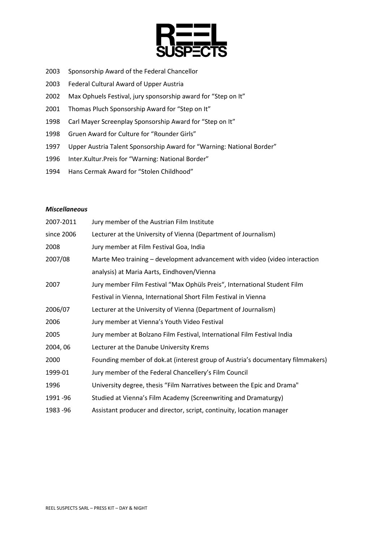

- 2003 Sponsorship Award of the Federal Chancellor
- 2003 Federal Cultural Award of Upper Austria
- 2002 Max Ophuels Festival, jury sponsorship award for "Step on It"
- 2001 Thomas Pluch Sponsorship Award for "Step on It"
- 1998 Carl Mayer Screenplay Sponsorship Award for "Step on It"
- 1998 Gruen Award for Culture for "Rounder Girls"
- 1997 Upper Austria Talent Sponsorship Award for "Warning: National Border"
- 1996 Inter.Kultur.Preis for "Warning: National Border"
- 1994 Hans Cermak Award for "Stolen Childhood"

### Miscellaneous

| 2007-2011  | Jury member of the Austrian Film Institute                                     |
|------------|--------------------------------------------------------------------------------|
| since 2006 | Lecturer at the University of Vienna (Department of Journalism)                |
| 2008       | Jury member at Film Festival Goa, India                                        |
| 2007/08    | Marte Meo training - development advancement with video (video interaction     |
|            | analysis) at Maria Aarts, Eindhoven/Vienna                                     |
| 2007       | Jury member Film Festival "Max Ophüls Preis", International Student Film       |
|            | Festival in Vienna, International Short Film Festival in Vienna                |
| 2006/07    | Lecturer at the University of Vienna (Department of Journalism)                |
| 2006       | Jury member at Vienna's Youth Video Festival                                   |
| 2005       | Jury member at Bolzano Film Festival, International Film Festival India        |
| 2004, 06   | Lecturer at the Danube University Krems                                        |
| 2000       | Founding member of dok.at (interest group of Austria's documentary filmmakers) |
| 1999-01    | Jury member of the Federal Chancellery's Film Council                          |
| 1996       | University degree, thesis "Film Narratives between the Epic and Drama"         |
| 1991 - 96  | Studied at Vienna's Film Academy (Screenwriting and Dramaturgy)                |
| 1983 - 96  | Assistant producer and director, script, continuity, location manager          |